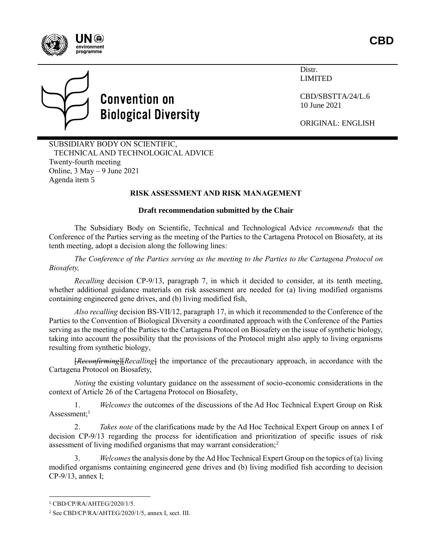



# **Convention on Biological Diversity**

Distr. LIMITED

CBD/SBSTTA/24/L.6 10 June 2021

ORIGINAL: ENGLISH

SUBSIDIARY BODY ON SCIENTIFIC, TECHNICAL AND TECHNOLOGICAL ADVICE Twenty-fourth meeting Online, 3 May – 9 June 2021 Agenda item 5

## **RISK ASSESSMENT AND RISK MANAGEMENT**

#### **Draft recommendation submitted by the Chair**

The Subsidiary Body on Scientific, Technical and Technological Advice *recommends* that the Conference of the Parties serving as the meeting of the Parties to the Cartagena Protocol on Biosafety, at its tenth meeting, adopt a decision along the following lines:

*The Conference of the Parties serving as the meeting to the Parties to the Cartagena Protocol on Biosafety,*

*Recalling* decision CP-9/13, paragraph 7, in which it decided to consider, at its tenth meeting, whether additional guidance materials on risk assessment are needed for (a) living modified organisms containing engineered gene drives, and (b) living modified fish,

*Also recalling* decision BS-VII/12, paragraph 17, in which it recommended to the Conference of the Parties to the Convention of Biological Diversity a coordinated approach with the Conference of the Parties serving as the meeting of the Parties to the Cartagena Protocol on Biosafety on the issue of synthetic biology, taking into account the possibility that the provisions of the Protocol might also apply to living organisms resulting from synthetic biology,

[*Reconfirming*][*Recalling*] the importance of the precautionary approach, in accordance with the Cartagena Protocol on Biosafety,

*Noting* the existing voluntary guidance on the assessment of socio-economic considerations in the context of Article 26 of the Cartagena Protocol on Biosafety,

1. *Welcomes* the outcomes of the discussions of the Ad Hoc Technical Expert Group on Risk Assessment: $1$ 

2. *Takes note* of the clarifications made by the Ad Hoc Technical Expert Group on annex I of decision CP-9/13 regarding the process for identification and prioritization of specific issues of risk assessment of living modified organisms that may warrant consideration;<sup>2</sup>

Welcomes the analysis done by the Ad Hoc Technical Expert Group on the topics of (a) living modified organisms containing engineered gene drives and (b) living modified fish according to decision CP-9/13, annex I;

l

<sup>1</sup> CBD/CP/RA/AHTEG/2020/1/5.

<sup>2</sup> See CBD/CP/RA/AHTEG/2020/1/5, annex I, sect. III.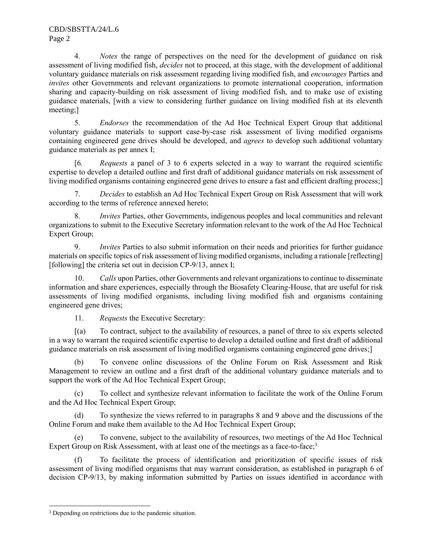4. *Notes* the range of perspectives on the need for the development of guidance on risk assessment of living modified fish, *decides* not to proceed, at this stage, with the development of additional voluntary guidance materials on risk assessment regarding living modified fish, and *encourages* Parties and *invites* other Governments and relevant organizations to promote international cooperation, information sharing and capacity-building on risk assessment of living modified fish, and to make use of existing guidance materials, [with a view to considering further guidance on living modified fish at its eleventh meeting;]

5. *Endorses* the recommendation of the Ad Hoc Technical Expert Group that additional voluntary guidance materials to support case-by-case risk assessment of living modified organisms containing engineered gene drives should be developed, and *agrees* to develop such additional voluntary guidance materials as per annex I;

[6*. Requests* a panel of 3 to 6 experts selected in a way to warrant the required scientific expertise to develop a detailed outline and first draft of additional guidance materials on risk assessment of living modified organisms containing engineered gene drives to ensure a fast and efficient drafting process;]

7. *Decides* to establish an Ad Hoc Technical Expert Group on Risk Assessment that will work according to the terms of reference annexed hereto;

8. *Invites* Parties, other Governments, indigenous peoples and local communities and relevant organizations to submit to the Executive Secretary information relevant to the work of the Ad Hoc Technical Expert Group;

9. *Invites* Parties to also submit information on their needs and priorities for further guidance materials on specific topics of risk assessment of living modified organisms, including a rationale [reflecting] [following] the criteria set out in decision CP-9/13, annex I;

10. *Calls* upon Parties, other Governments and relevant organizations to continue to disseminate information and share experiences, especially through the Biosafety Clearing-House, that are useful for risk assessments of living modified organisms, including living modified fish and organisms containing engineered gene drives;

11. *Requests* the Executive Secretary:

[(a) To contract, subject to the availability of resources, a panel of three to six experts selected in a way to warrant the required scientific expertise to develop a detailed outline and first draft of additional guidance materials on risk assessment of living modified organisms containing engineered gene drives;]

(b) To convene online discussions of the Online Forum on Risk Assessment and Risk Management to review an outline and a first draft of the additional voluntary guidance materials and to support the work of the Ad Hoc Technical Expert Group;

(c) To collect and synthesize relevant information to facilitate the work of the Online Forum and the Ad Hoc Technical Expert Group;

To synthesize the views referred to in paragraphs 8 and 9 above and the discussions of the Online Forum and make them available to the Ad Hoc Technical Expert Group;

(e) To convene, subject to the availability of resources, two meetings of the Ad Hoc Technical Expert Group on Risk Assessment, with at least one of the meetings as a face-to-face;<sup>3</sup>

(f) To facilitate the process of identification and prioritization of specific issues of risk assessment of living modified organisms that may warrant consideration, as established in paragraph 6 of decision CP-9/13, by making information submitted by Parties on issues identified in accordance with

 $\overline{a}$ <sup>3</sup> Depending on restrictions due to the pandemic situation.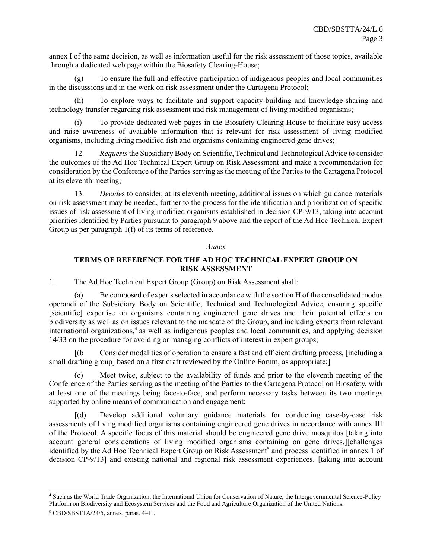annex I of the same decision, as well as information useful for the risk assessment of those topics, available through a dedicated web page within the Biosafety Clearing-House;

(g) To ensure the full and effective participation of indigenous peoples and local communities in the discussions and in the work on risk assessment under the Cartagena Protocol;

(h) To explore ways to facilitate and support capacity-building and knowledge-sharing and technology transfer regarding risk assessment and risk management of living modified organisms;

(i) To provide dedicated web pages in the Biosafety Clearing-House to facilitate easy access and raise awareness of available information that is relevant for risk assessment of living modified organisms, including living modified fish and organisms containing engineered gene drives;

12. *Requests* the Subsidiary Body on Scientific, Technical and Technological Advice to consider the outcomes of the Ad Hoc Technical Expert Group on Risk Assessment and make a recommendation for consideration by the Conference of the Parties serving as the meeting of the Parties to the Cartagena Protocol at its eleventh meeting;

13. *Decide*s to consider, at its eleventh meeting, additional issues on which guidance materials on risk assessment may be needed, further to the process for the identification and prioritization of specific issues of risk assessment of living modified organisms established in decision CP-9/13, taking into account priorities identified by Parties pursuant to paragraph 9 above and the report of the Ad Hoc Technical Expert Group as per paragraph 1(f) of its terms of reference.

#### *Annex*

### **TERMS OF REFERENCE FOR THE AD HOC TECHNICAL EXPERT GROUP ON RISK ASSESSMENT**

1. The Ad Hoc Technical Expert Group (Group) on Risk Assessment shall:

(a) Be composed of experts selected in accordance with the section H of the consolidated modus operandi of the Subsidiary Body on Scientific, Technical and Technological Advice, ensuring specific [scientific] expertise on organisms containing engineered gene drives and their potential effects on biodiversity as well as on issues relevant to the mandate of the Group, and including experts from relevant international organizations, 4 as well as indigenous peoples and local communities, and applying decision 14/33 on the procedure for avoiding or managing conflicts of interest in expert groups;

Consider modalities of operation to ensure a fast and efficient drafting process, [including a small drafting group] based on a first draft reviewed by the Online Forum, as appropriate;]

(c) Meet twice, subject to the availability of funds and prior to the eleventh meeting of the Conference of the Parties serving as the meeting of the Parties to the Cartagena Protocol on Biosafety, with at least one of the meetings being face-to-face, and perform necessary tasks between its two meetings supported by online means of communication and engagement;

[(d) Develop additional voluntary guidance materials for conducting case-by-case risk assessments of living modified organisms containing engineered gene drives in accordance with annex III of the Protocol. A specific focus of this material should be engineered gene drive mosquitos [taking into account general considerations of living modified organisms containing on gene drives,][challenges identified by the Ad Hoc Technical Expert Group on Risk Assessment<sup>5</sup> and process identified in annex 1 of decision CP-9/13] and existing national and regional risk assessment experiences. [taking into account

l

<sup>4</sup> Such as the World Trade Organization, the International Union for Conservation of Nature, the Intergovernmental Science-Policy Platform on Biodiversity and Ecosystem Services and the Food and Agriculture Organization of the United Nations.

<sup>5</sup> CBD/SBSTTA/24/5, annex, paras. 4-41.